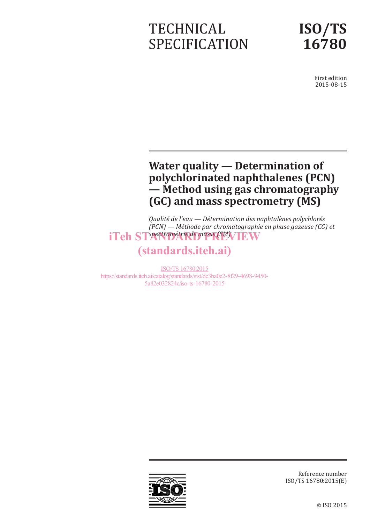# **TECHNICAL** SPECIFICATION



First edition 2015-08-15

# **Water quality — Determination of polychlorinated naphthalenes (PCN) — Method using gas chromatography (GC) and mass spectrometry (MS)**

*Qualité de l'eau — Détermination des naphtalènes polychlorés (PCN) — Méthode par chromatographie en phase gazeuse (CG) et*  iTeh STspectrométrie de masse (SM) VIEW

# (standards.iteh.ai)

ISO/TS 16780:2015 https://standards.iteh.ai/catalog/standards/sist/dc3ba0e2-8f29-4698-9450- 5a82e032824c/iso-ts-16780-2015



Reference number ISO/TS 16780:2015(E)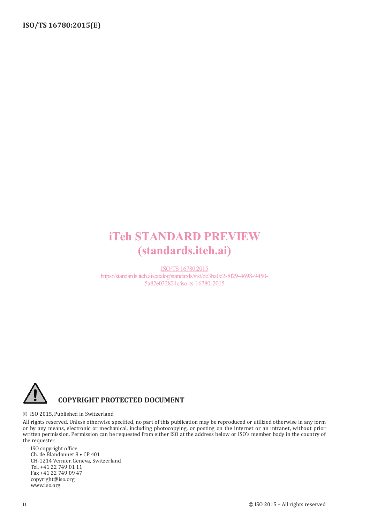# iTeh STANDARD PREVIEW (standards.iteh.ai)

ISO/TS 16780:2015 https://standards.iteh.ai/catalog/standards/sist/dc3ba0e2-8f29-4698-9450- 5a82e032824c/iso-ts-16780-2015



© ISO 2015, Published in Switzerland

All rights reserved. Unless otherwise specified, no part of this publication may be reproduced or utilized otherwise in any form or by any means, electronic or mechanical, including photocopying, or posting on the internet or an intranet, without prior written permission. Permission can be requested from either ISO at the address below or ISO's member body in the country of the requester.

ISO copyright office Ch. de Blandonnet 8 • CP 401 CH-1214 Vernier, Geneva, Switzerland Tel. +41 22 749 01 11 Fax +41 22 749 09 47 copyright@iso.org www.iso.org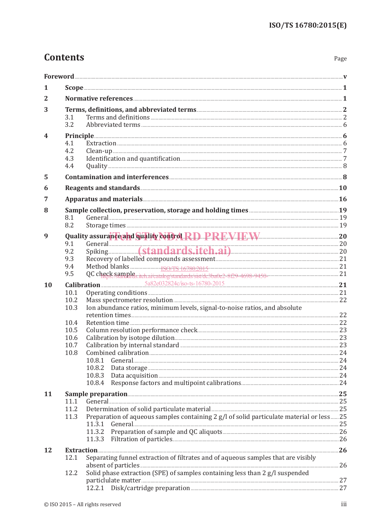# **Contents**

| I<br>×<br>۰, |
|--------------|
|--------------|

| 1                       |                                                              |                                                                                                                                                                   |  |
|-------------------------|--------------------------------------------------------------|-------------------------------------------------------------------------------------------------------------------------------------------------------------------|--|
| 2                       |                                                              |                                                                                                                                                                   |  |
| 3                       | 3.1<br>3.2                                                   |                                                                                                                                                                   |  |
| $\overline{\mathbf{4}}$ | 4.1<br>4.2<br>4.3<br>4.4                                     |                                                                                                                                                                   |  |
| 5                       |                                                              |                                                                                                                                                                   |  |
| 6                       |                                                              |                                                                                                                                                                   |  |
| 7                       |                                                              |                                                                                                                                                                   |  |
| 8                       | 8.1<br>8.2                                                   | Sample collection, preservation, storage and holding times <b>manually 19</b> 19                                                                                  |  |
| 9                       | 9.1<br>9.2<br>9.3<br>9.4<br>9.5                              | Quality assurance and Guality control. R.D. P.R.E.V.I.E.W.<br>General <b>Executive Constant Construction Constant Construction</b> 20                             |  |
| 10                      | 10.1<br>10.2<br>10.3<br>10.4<br>10.5<br>10.6<br>10.7<br>10.8 | Ion abundance ratios, minimum levels, signal-to-noise ratios, and absolute<br>10.8.1<br>10.8.2<br>10.8.3<br>10.8.4                                                |  |
| 11                      | 11.1<br>11.2<br>11.3                                         | Sample preparation 25<br>Preparation of aqueous samples containing 2 g/l of solid particulate material or less25<br>11.3.1<br>11.3.3                              |  |
| 12                      |                                                              | Extraction 26                                                                                                                                                     |  |
|                         | 12.1<br>12.2                                                 | Separating funnel extraction of filtrates and of aqueous samples that are visibly<br>Solid phase extraction (SPE) of samples containing less than 2 g/l suspended |  |
|                         |                                                              |                                                                                                                                                                   |  |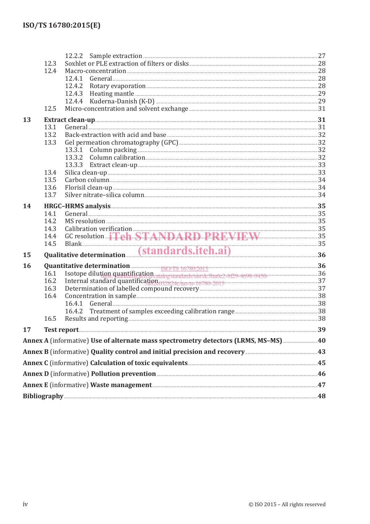|           |              | 12.2.2                                                                                                                                                                                                                        |  |
|-----------|--------------|-------------------------------------------------------------------------------------------------------------------------------------------------------------------------------------------------------------------------------|--|
|           | 12.3         |                                                                                                                                                                                                                               |  |
|           | 12.4         |                                                                                                                                                                                                                               |  |
|           |              | 12.4.1                                                                                                                                                                                                                        |  |
|           |              | 12.4.2                                                                                                                                                                                                                        |  |
|           |              | 12.4.3                                                                                                                                                                                                                        |  |
|           | 12.5         |                                                                                                                                                                                                                               |  |
|           |              |                                                                                                                                                                                                                               |  |
| 13        |              | General 21 31                                                                                                                                                                                                                 |  |
|           | 13.1<br>13.2 |                                                                                                                                                                                                                               |  |
|           | 13.3         |                                                                                                                                                                                                                               |  |
|           |              |                                                                                                                                                                                                                               |  |
|           |              |                                                                                                                                                                                                                               |  |
|           |              |                                                                                                                                                                                                                               |  |
|           | 13.4         |                                                                                                                                                                                                                               |  |
|           | 13.5         |                                                                                                                                                                                                                               |  |
|           | 13.6         |                                                                                                                                                                                                                               |  |
|           | 13.7         |                                                                                                                                                                                                                               |  |
| 14        |              | HRGC-HRMS analysis 35                                                                                                                                                                                                         |  |
|           | 14.1         |                                                                                                                                                                                                                               |  |
|           | 14.2         |                                                                                                                                                                                                                               |  |
|           | 14.3         |                                                                                                                                                                                                                               |  |
|           | 14.4         |                                                                                                                                                                                                                               |  |
|           |              |                                                                                                                                                                                                                               |  |
| 15        |              | 14.5 Blank 35<br>Qualitative determination (standards.itch.ai) 36                                                                                                                                                             |  |
| <b>16</b> |              | Quantitative determination<br>$\frac{150/15}{10^{11}}$ isotope dilution quantification<br>$\frac{1}{20}$                                                                                                                      |  |
|           | 16.1         | Isotope dilution quantification accretion started by started and the state of the started state of the started state of the started state of the started state of the started state of the started state of the started state |  |
|           | 16.2         |                                                                                                                                                                                                                               |  |
|           | 16.3         |                                                                                                                                                                                                                               |  |
|           | 16.4         |                                                                                                                                                                                                                               |  |
|           |              |                                                                                                                                                                                                                               |  |
|           | 16.5         | 16.4.2                                                                                                                                                                                                                        |  |
| 17        |              | Test report 39                                                                                                                                                                                                                |  |
|           |              |                                                                                                                                                                                                                               |  |
|           |              | Annex A (informative) Use of alternate mass spectrometry detectors (LRMS, MS-MS) 40                                                                                                                                           |  |
|           |              | Annex B (informative) Quality control and initial precision and recovery <b>Entity Control</b> 43                                                                                                                             |  |
|           |              | Annex C (informative) Calculation of toxic equivalents <b>Example 2016</b> 25                                                                                                                                                 |  |
|           |              | Annex D (informative) Pollution prevention <b>Example 2018</b> 46                                                                                                                                                             |  |
|           |              | Annex E (informative) Waste management <b>Example 2018</b> 27                                                                                                                                                                 |  |
|           |              |                                                                                                                                                                                                                               |  |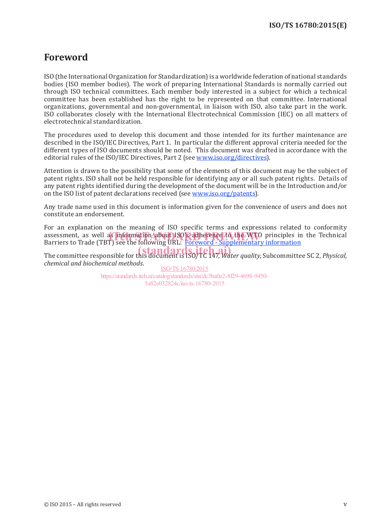# **Foreword**

ISO (the International Organization for Standardization) is a worldwide federation of national standards bodies (ISO member bodies). The work of preparing International Standards is normally carried out through ISO technical committees. Each member body interested in a subject for which a technical committee has been established has the right to be represented on that committee. International organizations, governmental and non-governmental, in liaison with ISO, also take part in the work. ISO collaborates closely with the International Electrotechnical Commission (IEC) on all matters of electrotechnical standardization.

The procedures used to develop this document and those intended for its further maintenance are described in the ISO/IEC Directives, Part 1. In particular the different approval criteria needed for the different types of ISO documents should be noted. This document was drafted in accordance with the editorial rules of the ISO/IEC Directives, Part 2 (see www.iso.org/directives).

Attention is drawn to the possibility that some of the elements of this document may be the subject of patent rights. ISO shall not be held responsible for identifying any or all such patent rights. Details of any patent rights identified during the development of the document will be in the Introduction and/or on the ISO list of patent declarations received (see www.iso.org/patents).

Any trade name used in this document is information given for the convenience of users and does not constitute an endorsement.

For an explanation on the meaning of ISO specific terms and expressions related to conformity assessment, as well as information about ISO's adherence to the WTO principles in the Technical<br>Barriers to Trade (TBT) see the following URL: Foreword - Supplementary information Barriers to Trade (TBT) see the following URL: Foreword - Supplementary information

The committee responsible for this document is ISO/TC 147, *Water quality*, Subcommittee SC 2, *Physical*, *chemical and biochemical methods*.

ISO/TS 16780:2015 https://standards.iteh.ai/catalog/standards/sist/dc3ba0e2-8f29-4698-9450- 5a82e032824c/iso-ts-16780-2015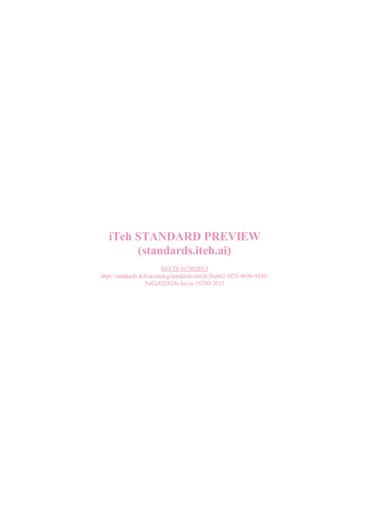# iTeh STANDARD PREVIEW (standards.iteh.ai)

ISO/TS 16780:2015 https://standards.iteh.ai/catalog/standards/sist/dc3ba0e2-8f29-4698-9450- 5a82e032824c/iso-ts-16780-2015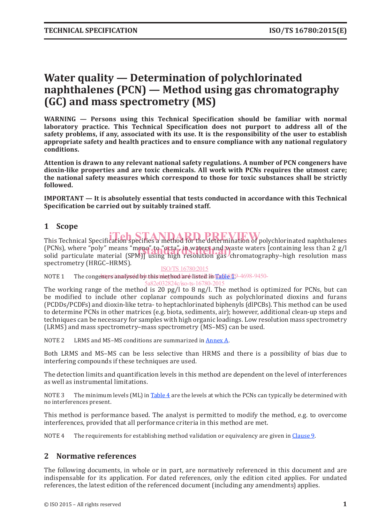# **Water quality — Determination of polychlorinated naphthalenes (PCN) — Method using gas chromatography (GC) and mass spectrometry (MS)**

**WARNING — Persons using this Technical Specification should be familiar with normal laboratory practice. This Technical Specification does not purport to address all of the safety problems, if any, associated with its use. It is the responsibility of the user to establish appropriate safety and health practices and to ensure compliance with any national regulatory conditions.**

**Attention is drawn to any relevant national safety regulations. A number of PCN congeners have dioxin-like properties and are toxic chemicals. All work with PCNs requires the utmost care; the national safety measures which correspond to those for toxic substances shall be strictly followed.**

**IMPORTANT — It is absolutely essential that tests conducted in accordance with this Technical Specification be carried out by suitably trained staff.**

# **1 Scope**

This Technical Specification specifies a method for the determination of polychlorinated naphthalenes (PCNs), where "poly" means "mono" to "octa", in waters and waste waters [containing less than 2 g/l solid particulate material (SPM)] using high resolution gas chromatography-high resolution mass solid particulate material (SPM)] using high resolution gas chromatography–high resolution mass spectrometry (HRGC–HRMS).

ISO/TS 16780:2015

NOTE 1 The congeners/analysed by this method are listed in Table 129-4698-9450-

(LRMS) and mass spectrometry–mass spectrometry (MS–MS) can be used.

The working range of the method is 20 pg/l to 8 ng/l. The method is optimized for PCNs, but can be modified to include other coplanar compounds such as polychlorinated dioxins and furans (PCDDs/PCDFs) and dioxin-like tetra- to heptachlorinated biphenyls (dlPCBs). This method can be used to determine PCNs in other matrices (e.g. biota, sediments, air); however, additional clean-up steps and techniques can be necessary for samples with high organic loadings. Low resolution mass spectrometry 5a82e032824c/iso-ts-16780-2015

NOTE 2 LRMS and MS–MS conditions are summarized in Annex A.

Both LRMS and MS–MS can be less selective than HRMS and there is a possibility of bias due to interfering compounds if these techniques are used.

The detection limits and quantification levels in this method are dependent on the level of interferences as well as instrumental limitations.

NOTE 3 The minimum levels (ML) in Table 4 are the levels at which the PCNs can typically be determined with no interferences present.

This method is performance based. The analyst is permitted to modify the method, e.g. to overcome interferences, provided that all performance criteria in this method are met.

NOTE 4 The requirements for establishing method validation or equivalency are given in Clause 9.

# **2 Normative references**

The following documents, in whole or in part, are normatively referenced in this document and are indispensable for its application. For dated references, only the edition cited applies. For undated references, the latest edition of the referenced document (including any amendments) applies.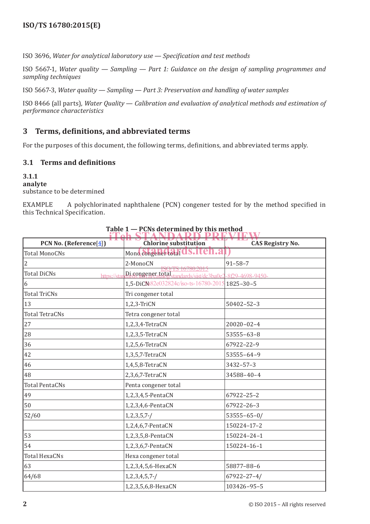ISO 3696, *Water for analytical laboratory use — Specification and test methods*

ISO 5667-1, *Water quality — Sampling — Part 1: Guidance on the design of sampling programmes and sampling techniques*

ISO 5667-3, *Water quality — Sampling — Part 3: Preservation and handling of water samples*

ISO 8466 (all parts)*, Water Quality* — *Calibration and evaluation of analytical methods and estimation of performance characteristics*

# **3 Terms, definitions, and abbreviated terms**

For the purposes of this document, the following terms, definitions, and abbreviated terms apply.

# **3.1 Terms and definitions**

**3.1.1 analyte** substance to be determined

EXAMPLE A polychlorinated naphthalene (PCN) congener tested for by the method specified in this Technical Specification.

| refinincu vy tir<br><b>DDDAVID</b> |                                                |                                    |  |  |  |
|------------------------------------|------------------------------------------------|------------------------------------|--|--|--|
| PCN No. (Reference[4])             | <b>Chlorine substitution</b>                   | CAS Registry No.                   |  |  |  |
| <b>Total MonoCNs</b>               | Mond congener total ds. Iten.a                 |                                    |  |  |  |
| 2                                  | 2-MonoCN                                       | $91 - 58 - 7$                      |  |  |  |
| <b>Total DiCNs</b><br>https://star | <u>Di congener total</u>                       | ards/sist/dc3ba0e2-8f29-4698-9450- |  |  |  |
| 6                                  | 1,5-DiCM82e032824c/iso-ts-16780-2015 1825-30-5 |                                    |  |  |  |
| <b>Total TriCNs</b>                | Tri congener total                             |                                    |  |  |  |
| 13                                 | 1,2,3-TriCN                                    | $50402 - 52 - 3$                   |  |  |  |
| <b>Total TetraCNs</b>              | Tetra congener total                           |                                    |  |  |  |
| 27                                 | 1,2,3,4-TetraCN                                | $20020 - 02 - 4$                   |  |  |  |
| 28                                 | 1,2,3,5-TetraCN                                | $53555 - 63 - 8$                   |  |  |  |
| 36                                 | 1,2,5,6-TetraCN                                | 67922-22-9                         |  |  |  |
| 42                                 | 1,3,5,7-TetraCN                                | $53555 - 64 - 9$                   |  |  |  |
| 46                                 | 1,4,5,8-TetraCN                                | 3432-57-3                          |  |  |  |
| 48                                 | 2,3,6,7-TetraCN                                | 34588-40-4                         |  |  |  |
| <b>Total PentaCNs</b>              | Penta congener total                           |                                    |  |  |  |
| 49                                 | 1,2,3,4,5-PentaCN                              | 67922-25-2                         |  |  |  |
| 50                                 | 1,2,3,4,6-PentaCN                              | $67922 - 26 - 3$                   |  |  |  |
| 52/60                              | $1, 2, 3, 5, 7$ -/                             | $53555 - 65 - 0/$                  |  |  |  |
|                                    | 1,2,4,6,7-PentaCN                              | 150224-17-2                        |  |  |  |
| 53                                 | 1,2,3,5,8-PentaCN                              | 150224-24-1                        |  |  |  |
| 54                                 | 1,2,3,6,7-PentaCN                              | 150224-16-1                        |  |  |  |
| <b>Total HexaCNs</b>               | Hexa congener total                            |                                    |  |  |  |
| 63                                 | 1,2,3,4,5,6-HexaCN                             | 58877-88-6                         |  |  |  |
| 64/68                              | $1, 2, 3, 4, 5, 7$ -/                          | $67922 - 27 - 4/$                  |  |  |  |
|                                    | 1,2,3,5,6,8-HexaCN                             | 103426-95-5                        |  |  |  |

# **Table 1 — PCNs determined by this method**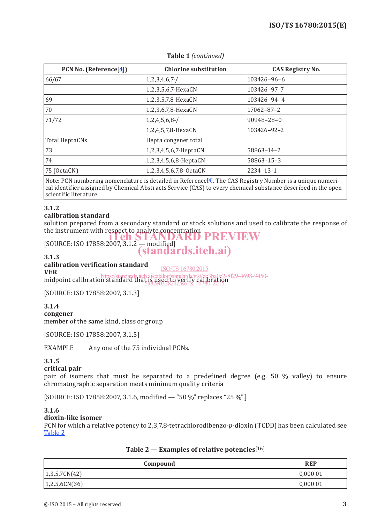| <b>PCN No. (Reference</b> $[4]$ ) | <b>Chlorine substitution</b> | <b>CAS Registry No.</b> |
|-----------------------------------|------------------------------|-------------------------|
| 66/67                             | $1,2,3,4,6,7$ -/             | $103426 - 96 - 6$       |
|                                   | 1,2,3,5,6,7-HexaCN           | 103426-97-7             |
| 69                                | 1,2,3,5,7,8-HexaCN           | $103426 - 94 - 4$       |
| 70                                | 1,2,3,6,7,8-HexaCN           | $17062 - 87 - 2$        |
| 71/72                             | $1,2,4,5,6,8-$ /             | $90948 - 28 - 0$        |
|                                   | 1,2,4,5,7,8-HexaCN           | 103426-92-2             |
| <b>Total HeptaCNs</b>             | Hepta congener total         |                         |
| 73                                | 1,2,3,4,5,6,7-HeptaCN        | 58863-14-2              |
| 74                                | 1,2,3,4,5,6,8-HeptaCN        | $58863 - 15 - 3$        |
| 75 (OctaCN)                       | 1,2,3,4,5,6,7,8-OctaCN       | $2234 - 13 - 1$         |

#### **Table 1** *(continued)*

Note: PCN numbering nomenclature is detailed in Reference[4]. The CAS Registry Number is a unique numerical identifier assigned by Chemical Abstracts Service (CAS) to every chemical substance described in the open scientific literature.

### **3.1.2**

### **calibration standard**

solution prepared from a secondary standard or stock solutions and used to calibrate the response of the instrument with respect to analyte concentration **iTeh STANDARD PREVIEW** 

[SOURCE: ISO 17858:2007, 3.1.2 — modified] (standards.iteh.ai)

#### **3.1.3**

# **calibration verification standard**

ISO/TS 16780:2015

**VER** midpoint calibration standard that is used to verify calibration https://standards.iteh.ai/catalog/standards/sist/dc3ba0e2-8f29-4698-9450- 5a82e032824c/iso-ts-16780-2015

[SOURCE: ISO 17858:2007, 3.1.3]

# **3.1.4**

#### **congener**

member of the same kind, class or group

[SOURCE: ISO 17858:2007, 3.1.5]

EXAMPLE Any one of the 75 individual PCNs.

# **3.1.5**

#### **critical pair**

pair of isomers that must be separated to a predefined degree (e.g. 50 % valley) to ensure chromatographic separation meets minimum quality criteria

[SOURCE: ISO 17858:2007, 3.1.6, modified — "50 %" replaces "25 %".]

### **3.1.6**

#### **dioxin-like isomer**

PCN for which a relative potency to 2,3,7,8-tetrachlorodibenzo-*p*-dioxin (TCDD) has been calculated see Table 2

| Compound      | <b>REP</b> |
|---------------|------------|
| 1,3,5,7CN(42) | 0,00001    |
| 1,2,5,6CN(36) | 0,00001    |

### **Table 2 — Examples of relative potencies**[16]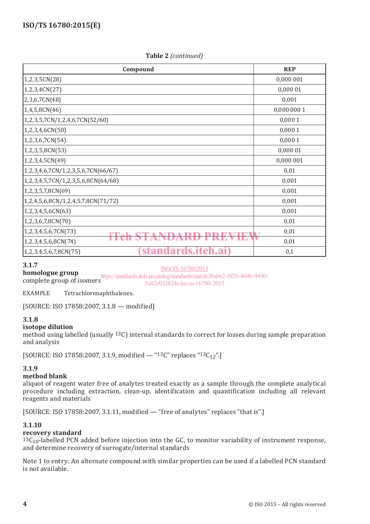#### **Table 2** *(continued)*

| Compound                                   | <b>REP</b>  |
|--------------------------------------------|-------------|
| 1,2,3,5CN(28)                              | 0,000 001   |
| 1,2,3,4CN(27)                              | 0,000 01    |
| 2,3,6,7CN(48)                              | 0,001       |
| 1,4,5,8CN(46)                              | 0,000 000 1 |
| 1,2,3,5,7CN/1,2,4,6,7CN(52/60)             | 0,0001      |
| 1,2,3,4,6CN(50)                            | 0,0001      |
| 1,2,3,6,7CN(54)                            | 0,0001      |
| 1,2,3,5,8CN(53)                            | 0,000 01    |
| 1,2,3,4,5CN(49)                            | 0,000 001   |
| 1,2,3,4,6,7CN/1,2,3,5,6,7CN(66/67)         | 0,01        |
| 1,2,3,4,5,7CN/1,2,3,5,6,8CN(64/68)         | 0,001       |
| 1,2,3,5,7,8CN(69)                          | 0,001       |
| 1,2,4,5,6,8CN/1,2,4,5,7,8CN(71/72)         | 0,001       |
| 1,2,3,4,5,6CN(63)                          | 0,001       |
| 1,2,3,6,7,8CN(70)                          | 0,01        |
| 1,2,3,4,5,6,7CN(73)                        | 0,01        |
| 1,2,3,4,5,6,8CN(74)                        | 0,01        |
| standards.iteh.ai<br>1,2,3,4,5,6,7,8CN(75) | 0,1         |

#### **3.1.7**

ISO/TS 16780:2015

**homologue group** complete group of isomers https://standards.iteh.ai/catalog/standards/sist/dc3ba0e2-8f29-4698-9450- 5a82e032824c/iso-ts-16780-2015

EXAMPLE Tetrachloronaphthalenes.

[SOURCE: ISO 17858:2007, 3.1.8 — modified]

#### **3.1.8**

#### **isotope dilution**

method using labelled (usually 13C) internal standards to correct for losses during sample preparation and analysis

[SOURCE: ISO 17858:2007, 3.1.9, modified — "13C" replaces "13C<sub>12</sub>".]

# **3.1.9**

### **method blank**

aliquot of reagent water free of analytes treated exactly as a sample through the complete analytical procedure including extraction, clean-up, identification and quantification including all relevant reagents and materials

[SOURCE: ISO 17858:2007, 3.1.11, modified — "free of analytes" replaces "that is".]

# **3.1.10**

# **recovery standard**

 $13C_{10}$ -labelled PCN added before injection into the GC, to monitor variability of instrument response, and determine recovery of surrogate/internal standards

Note 1 to entry: An alternate compound with similar properties can be used if a labelled PCN standard is not available.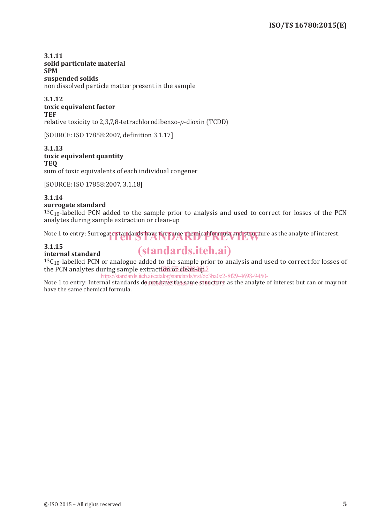#### **3.1.11 solid particulate material SPM suspended solids**

non dissolved particle matter present in the sample

#### **3.1.12 toxic equivalent factor TEF**

relative toxicity to 2,3,7,8-tetrachlorodibenzo-*p*-dioxin (TCDD)

[SOURCE: ISO 17858:2007, definition 3.1.17]

#### **3.1.13 toxic equivalent quantity TEQ**

sum of toxic equivalents of each individual congener

[SOURCE: ISO 17858:2007, 3.1.18]

### **3.1.14**

#### **surrogate standard**

**internal standard**

 $13C_{10}$ -labelled PCN added to the sample prior to analysis and used to correct for losses of the PCN analytes during sample extraction or clean-up

Note 1 to entry: Surrogate standards have the same chemical formula and structure as the analyte of interest.

### **3.1.15**

# (standards.iteh.ai)

 $13C_{10}$ -labelled PCN or analogue added to the sample prior to analysis and used to correct for losses of the PCN analytes during sample extraction of clean-up5

https://standards.iteh.ai/catalog/standards/sist/dc3ba0e2-8f29-4698-9450-

Note 1 to entry: Internal standards do not have the same structure as the analyte of interest but can or may not have the same chemical formula.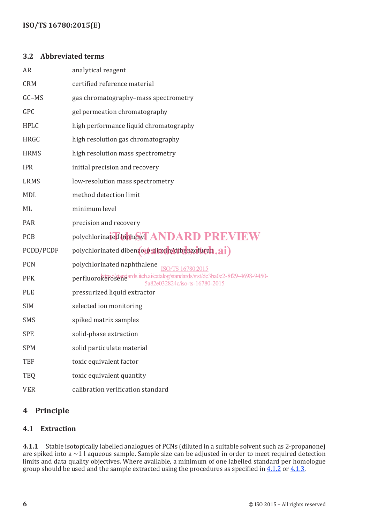# **ISO/TS 16780:2015(E)**

#### **3.2 Abbreviated terms**

| AR          | analytical reagent                                                                                              |
|-------------|-----------------------------------------------------------------------------------------------------------------|
| <b>CRM</b>  | certified reference material                                                                                    |
| GC-MS       | gas chromatography-mass spectrometry                                                                            |
| GPC         | gel permeation chromatography                                                                                   |
| <b>HPLC</b> | high performance liquid chromatography                                                                          |
| <b>HRGC</b> | high resolution gas chromatography                                                                              |
| <b>HRMS</b> | high resolution mass spectrometry                                                                               |
| <b>IPR</b>  | initial precision and recovery                                                                                  |
| <b>LRMS</b> | low-resolution mass spectrometry                                                                                |
| <b>MDL</b>  | method detection limit                                                                                          |
| ML          | minimum level                                                                                                   |
| PAR         | precision and recovery                                                                                          |
| <b>PCB</b>  | polychlorinated biphenyl ANDARD PREVIEW                                                                         |
| PCDD/PCDF   | polychlorinated dibenzo p-dioxin/dibenzofuean.ai)                                                               |
| <b>PCN</b>  | polychlorinated naphthalene                                                                                     |
| <b>PFK</b>  | perfluorokeroseneards.iteh.ai/catalog/standards/sist/dc3ba0e2-8f29-4698-9450-<br>5a82e032824c/iso-ts-16780-2015 |
| <b>PLE</b>  | pressurized liquid extractor                                                                                    |
| <b>SIM</b>  | selected ion monitoring                                                                                         |
| <b>SMS</b>  |                                                                                                                 |
|             | spiked matrix samples                                                                                           |
| <b>SPE</b>  | solid-phase extraction                                                                                          |
| <b>SPM</b>  | solid particulate material                                                                                      |
| <b>TEF</b>  | toxic equivalent factor                                                                                         |
| TEQ         | toxic equivalent quantity                                                                                       |
| <b>VER</b>  | calibration verification standard                                                                               |

# **4 Principle**

# **4.1 Extraction**

**4.1.1**  Stable isotopically labelled analogues of PCNs (diluted in a suitable solvent such as 2-propanone) are spiked into a  $\sim$ 1 l aqueous sample. Sample size can be adjusted in order to meet required detection limits and data quality objectives. Where available, a minimum of one labelled standard per homologue group should be used and the sample extracted using the procedures as specified in 4.1.2 or 4.1.3.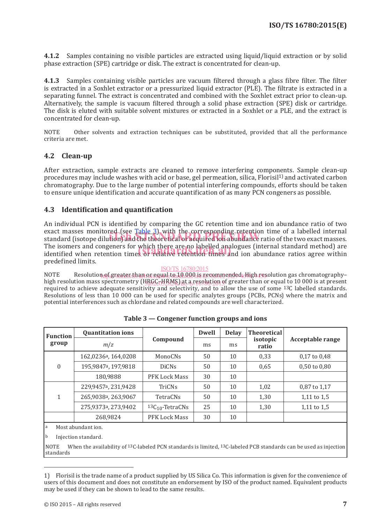**4.1.2**  Samples containing no visible particles are extracted using liquid/liquid extraction or by solid phase extraction (SPE) cartridge or disk. The extract is concentrated for clean-up.

**4.1.3**  Samples containing visible particles are vacuum filtered through a glass fibre filter. The filter is extracted in a Soxhlet extractor or a pressurized liquid extractor (PLE). The filtrate is extracted in a separating funnel. The extract is concentrated and combined with the Soxhlet extract prior to clean-up. Alternatively, the sample is vacuum filtered through a solid phase extraction (SPE) disk or cartridge. The disk is eluted with suitable solvent mixtures or extracted in a Soxhlet or a PLE, and the extract is concentrated for clean-up.

NOTE Other solvents and extraction techniques can be substituted, provided that all the performance criteria are met.

### **4.2 Clean-up**

After extraction, sample extracts are cleaned to remove interfering components. Sample clean-up procedures may include washes with acid or base, gel permeation, silica, Florisil1) and activated carbon chromatography. Due to the large number of potential interfering compounds, efforts should be taken to ensure unique identification and accurate quantification of as many PCN congeners as possible.

### **4.3 Identification and quantification**

An individual PCN is identified by comparing the GC retention time and ion abundance ratio of two exact masses monitored (see Table 3) with the corresponding retention time of a labelled internal exact masses monitored (see Table 3) with the corresponding retention time or a labelled internal<br>standard (isotope dilution) and the theoretical or acquired ion abundance ratio of the two exact masses. The isomers and congeners for which there are no labelled analogues (internal standard method) are The isomers and congeners for which there are no labelled analogues (internal standard method) are<br>identified when retention times or relative retention times and ion abundance ratios agree within predefined limits.

#### ISO/TS 16780:2015

NOTE Resolution of greater than or equal to 10 000 is recommended. High resolution gas chromatography– high resolution mass spectrometry (HRGC–HRMA) at a resolution of greater than or equal to 10 000 is at present required to achieve adequate sensitivity and selectivity, and to allow the use of some 13C labelled standards. Resolutions of less than 10 000 can be used for specific analytes groups (PCBs, PCNs) where the matrix and potential interferences such as chlordane and related compounds are well characterized.

| <b>Function</b><br>group | <b>Quantitation ions</b>         |                      | <b>Dwell</b> | <b>Delay</b> | <b>Theoretical</b> |                         |
|--------------------------|----------------------------------|----------------------|--------------|--------------|--------------------|-------------------------|
|                          | m/z                              | Compound             | ms           | ms           | isotopic<br>ratio  | <b>Acceptable range</b> |
|                          | 162,0236 <sup>a</sup> , 164,0208 | MonoCNs              | 50           | 10           | 0,33               | 0,17 to 0,48            |
| $\theta$                 | 195,9847 <sup>a</sup> , 197,9818 | <b>DiCNs</b>         | 50           | 10           | 0,65               | $0,50$ to $0,80$        |
|                          | 180,9888                         | PFK Lock Mass        | 30           | 10           |                    |                         |
|                          | 229,9457a, 231,9428              | TriCNs               | 50           | 10           | 1,02               | 0,87 to 1,17            |
| 1                        | 265,9038a, 263,9067              | TetraCNs             | 50           | 10           | 1,30               | 1,11 to 1,5             |
|                          | 275,9373a, 273,9402              | $13C_{10}$ -TetraCNs | 25           | 10           | 1,30               | $1,11$ to $1,5$         |
|                          | 268,9824                         | PFK Lock Mass        | 30           | 10           |                    |                         |
|                          |                                  |                      |              |              |                    |                         |

|  | Table 3 – Congener function groups and ions |  |  |  |  |
|--|---------------------------------------------|--|--|--|--|
|--|---------------------------------------------|--|--|--|--|

Most abundant ion.

b Injection standard.

NOTE When the availability of <sup>13</sup>C-labeled PCN standards is limited, <sup>13</sup>C-labeled PCB standards can be used as injection standards

<sup>1)</sup> Florisil is the trade name of a product supplied by US Silica Co. This information is given for the convenience of users of this document and does not constitute an endorsement by ISO of the product named. Equivalent products may be used if they can be shown to lead to the same results.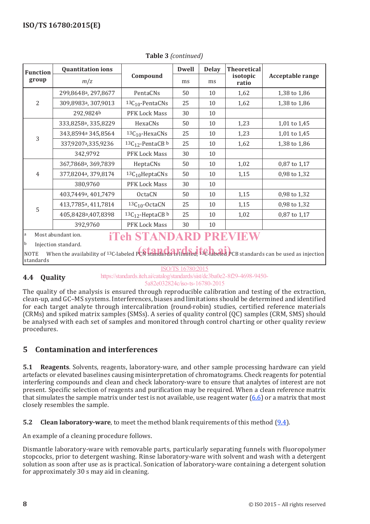| <b>Function</b>                       | <b>Quantitation ions</b>                                                                                                                         |                       | <b>Dwell</b> | <b>Delay</b> | <b>Theoretical</b> |                  |  |
|---------------------------------------|--------------------------------------------------------------------------------------------------------------------------------------------------|-----------------------|--------------|--------------|--------------------|------------------|--|
| group                                 | m/z                                                                                                                                              | Compound              | ms           | ms           | isotopic<br>ratio  | Acceptable range |  |
|                                       | 299,8648a, 297,8677                                                                                                                              | PentaCNs              | 50           | 10           | 1,62               | 1,38 to 1,86     |  |
| $\overline{2}$                        | 309,8983 <sup>a</sup> , 307,9013                                                                                                                 | $13C_{10}$ -PentaCNs  | 25           | 10           | 1,62               | 1,38 to 1,86     |  |
|                                       | 292,9824b                                                                                                                                        | PFK Lock Mass         | 30           | 10           |                    |                  |  |
|                                       | 333,8258 <sup>a</sup> , 335,8229                                                                                                                 | HexaCNs               | 50           | 10           | 1,23               | 1,01 to 1,45     |  |
| 3                                     | 343,8594a 345,8564                                                                                                                               | $13C_{10}$ -HexaCNs   | 25           | 10           | 1,23               | 1,01 to 1,45     |  |
|                                       | 337,9207 <sup>a</sup> ,335,9236                                                                                                                  | $13C_{12}$ -PentaCB b | 25           | 10           | 1,62               | 1,38 to 1,86     |  |
|                                       | 342,9792                                                                                                                                         | PFK Lock Mass         | 30           | 10           |                    |                  |  |
|                                       | 367,7868a, 369,7839                                                                                                                              | HeptaCNs              | 50           | 10           | 1,02               | 0,87 to 1,17     |  |
| 4                                     | 377,8204a, 379,8174                                                                                                                              | $13C_{10}$ HeptaCNs   | 50           | 10           | 1,15               | 0,98 to 1,32     |  |
|                                       | 380,9760                                                                                                                                         | PFK Lock Mass         | 30           | 10           |                    |                  |  |
|                                       | 403,7449a, 401,7479                                                                                                                              | <b>OctaCN</b>         | 50           | 10           | 1,15               | 0,98 to 1,32     |  |
|                                       | 413,7785a, 411,7814                                                                                                                              | $13C_{10}$ -OctaCN    | 25           | 10           | 1,15               | 0,98 to 1,32     |  |
| 5                                     | 405,8428a,407,8398                                                                                                                               | $13C_{12}$ -HeptaCB b | 25           | 10           | 1,02               | 0,87 to 1,17     |  |
|                                       | 392,9760                                                                                                                                         | PFK Lock Mass         | 30           | 10           |                    |                  |  |
| Most abundant ion.<br> a<br>iTeh STAI |                                                                                                                                                  |                       |              |              |                    |                  |  |
| b                                     | Injection standard.<br>$\mathcal{L}$ and $\mathcal{L}$ and $\mathcal{L}$ and $\mathcal{L}$ and $\mathcal{L}$ and $\mathcal{L}$ and $\mathcal{L}$ |                       |              |              |                    |                  |  |

**Table 3** *(continued)*

mection standard.<br>NOTE When the availability of <sup>13</sup>C-labeled PCN standards is limited, 13C-labeled PCB standards can be used as injection standards

# **4.4 Quality**

ISO/TS 16780:2015 https://standards.iteh.ai/catalog/standards/sist/dc3ba0e2-8f29-4698-9450- 5a82e032824c/iso-ts-16780-2015

The quality of the analysis is ensured through reproducible calibration and testing of the extraction, clean-up, and GC–MS systems. Interferences, biases and limitations should be determined and identified for each target analyte through intercalibration (round-robin) studies, certified reference materials (CRMs) and spiked matrix samples (SMSs). A series of quality control (QC) samples (CRM, SMS) should be analysed with each set of samples and monitored through control charting or other quality review procedures.

# **5 Contamination and interferences**

**5.1 Reagents**. Solvents, reagents, laboratory-ware, and other sample processing hardware can yield artefacts or elevated baselines causing misinterpretation of chromatograms. Check reagents for potential interfering compounds and clean and check laboratory-ware to ensure that analytes of interest are not present. Specific selection of reagents and purification may be required. When a clean reference matrix that simulates the sample matrix under test is not available, use reagent water  $(6.6)$  or a matrix that most closely resembles the sample.

**5.2 Clean laboratory-ware**, to meet the method blank requirements of this method (9.4).

An example of a cleaning procedure follows.

Dismantle laboratory-ware with removable parts, particularly separating funnels with fluoropolymer stopcocks, prior to detergent washing. Rinse laboratory-ware with solvent and wash with a detergent solution as soon after use as is practical. Sonication of laboratory-ware containing a detergent solution for approximately 30 s may aid in cleaning.